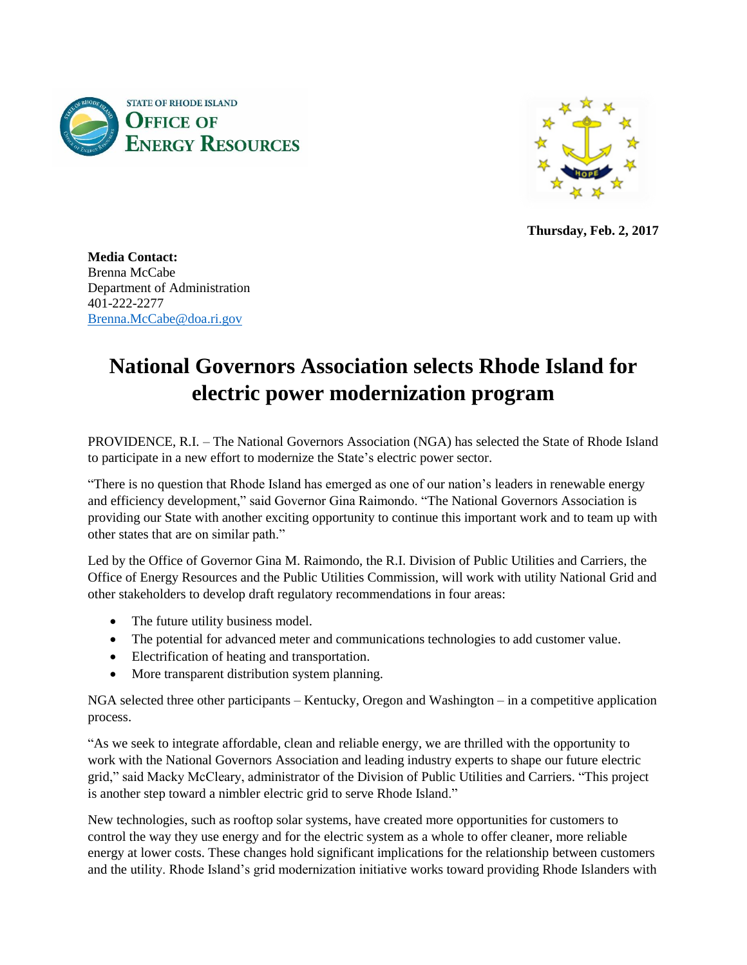



**Thursday, Feb. 2, 2017**

**Media Contact:** Brenna McCabe Department of Administration 401-222-2277 [Brenna.McCabe@doa.ri.gov](mailto:Brenna.McCabe@doa.ri.gov)

## **National Governors Association selects Rhode Island for electric power modernization program**

PROVIDENCE, R.I. – The National Governors Association (NGA) has selected the State of Rhode Island to participate in a new effort to modernize the State's electric power sector.

"There is no question that Rhode Island has emerged as one of our nation's leaders in renewable energy and efficiency development," said Governor Gina Raimondo. "The National Governors Association is providing our State with another exciting opportunity to continue this important work and to team up with other states that are on similar path."

Led by the Office of Governor Gina M. Raimondo, the R.I. Division of Public Utilities and Carriers, the Office of Energy Resources and the Public Utilities Commission, will work with utility National Grid and other stakeholders to develop draft regulatory recommendations in four areas:

- The future utility business model.
- The potential for advanced meter and communications technologies to add customer value.
- Electrification of heating and transportation.
- More transparent distribution system planning.

NGA selected three other participants – Kentucky, Oregon and Washington – in a competitive application process.

"As we seek to integrate affordable, clean and reliable energy, we are thrilled with the opportunity to work with the National Governors Association and leading industry experts to shape our future electric grid," said Macky McCleary, administrator of the Division of Public Utilities and Carriers. "This project is another step toward a nimbler electric grid to serve Rhode Island."

New technologies, such as rooftop solar systems, have created more opportunities for customers to control the way they use energy and for the electric system as a whole to offer cleaner, more reliable energy at lower costs. These changes hold significant implications for the relationship between customers and the utility. Rhode Island's grid modernization initiative works toward providing Rhode Islanders with